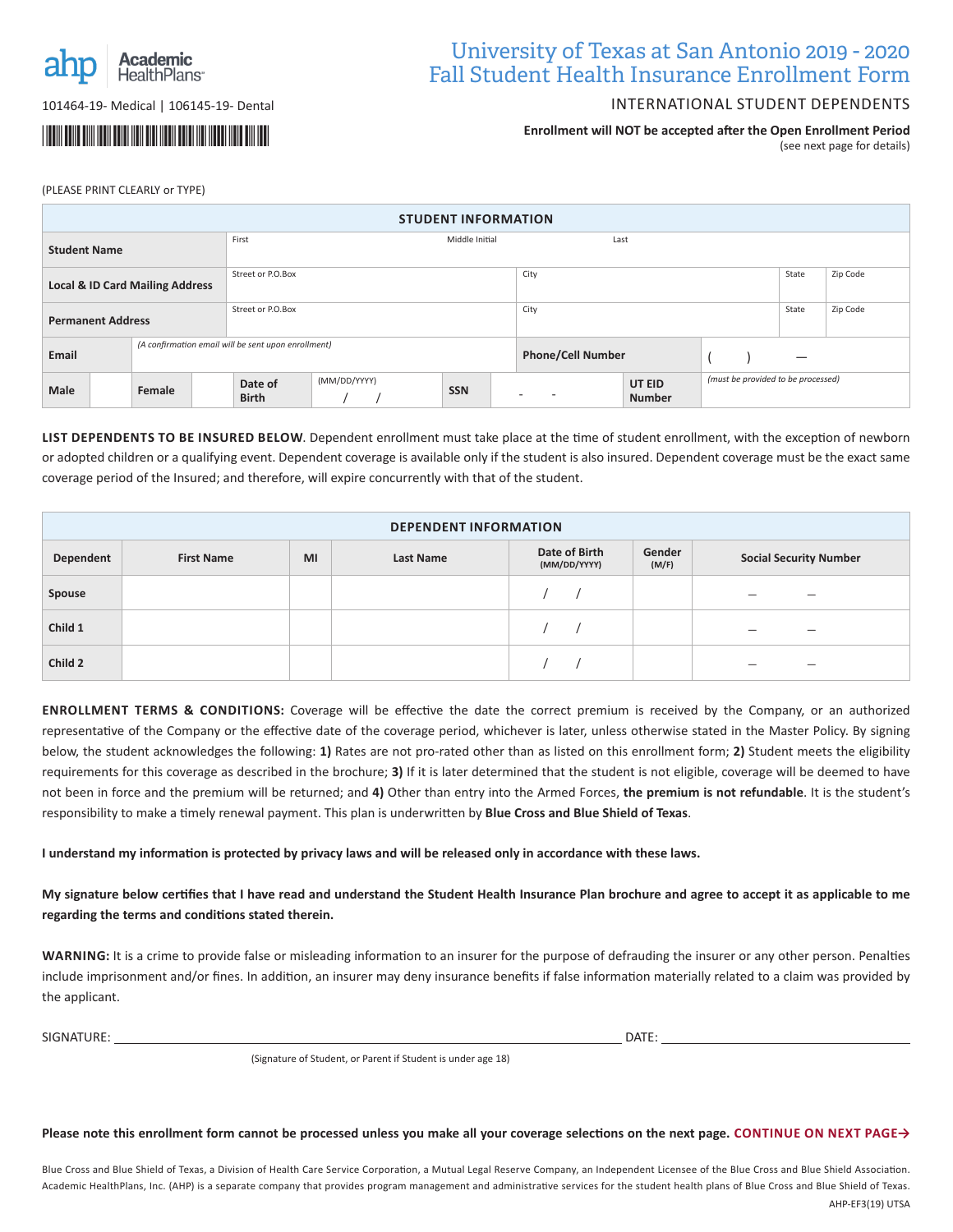

101464-19- Medical | 106145-19- Dental

# \*067014-01-16\*

## University of Texas at San Antonio 2019 - 2020 Fall Student Health Insurance Enrollment Form

#### INTERNATIONAL STUDENT DEPENDENTS

**Enrollment will NOT be accepted after the Open Enrollment Period**  (see next page for details)

(PLEASE PRINT CLEARLY or TYPE)

| <b>STUDENT INFORMATION</b>                                   |  |        |                                                       |                   |  |  |                          |   |  |  |                                    |          |  |
|--------------------------------------------------------------|--|--------|-------------------------------------------------------|-------------------|--|--|--------------------------|---|--|--|------------------------------------|----------|--|
| <b>Student Name</b>                                          |  |        |                                                       | First             |  |  | Last                     |   |  |  |                                    |          |  |
| <b>Local &amp; ID Card Mailing Address</b>                   |  |        |                                                       | Street or P.O.Box |  |  | City                     |   |  |  | State                              | Zip Code |  |
| <b>Permanent Address</b>                                     |  |        |                                                       | Street or P.O.Box |  |  | City                     |   |  |  | State                              | Zip Code |  |
| (A confirmation email will be sent upon enrollment)<br>Email |  |        |                                                       |                   |  |  | <b>Phone/Cell Number</b> |   |  |  |                                    |          |  |
| Male                                                         |  | Female | (MM/DD/YYYY)<br>Date of<br><b>SSN</b><br><b>Birth</b> |                   |  |  | $\overline{\phantom{0}}$ | - |  |  | (must be provided to be processed) |          |  |
|                                                              |  |        |                                                       |                   |  |  |                          |   |  |  |                                    |          |  |

**LIST DEPENDENTS TO BE INSURED BELOW**. Dependent enrollment must take place at the time of student enrollment, with the exception of newborn or adopted children or a qualifying event. Dependent coverage is available only if the student is also insured. Dependent coverage must be the exact same coverage period of the Insured; and therefore, will expire concurrently with that of the student.

| <b>DEPENDENT INFORMATION</b> |                   |    |           |                               |                 |                               |  |  |  |
|------------------------------|-------------------|----|-----------|-------------------------------|-----------------|-------------------------------|--|--|--|
| Dependent                    | <b>First Name</b> | MI | Last Name | Date of Birth<br>(MM/DD/YYYY) | Gender<br>(M/F) | <b>Social Security Number</b> |  |  |  |
| Spouse                       |                   |    |           |                               |                 | -<br>–                        |  |  |  |
| Child 1                      |                   |    |           |                               |                 | -<br>-                        |  |  |  |
| Child 2                      |                   |    |           |                               |                 | -                             |  |  |  |

**ENROLLMENT TERMS & CONDITIONS:** Coverage will be effective the date the correct premium is received by the Company, or an authorized representative of the Company or the effective date of the coverage period, whichever is later, unless otherwise stated in the Master Policy. By signing below, the student acknowledges the following: **1)** Rates are not pro-rated other than as listed on this enrollment form; **2)** Student meets the eligibility requirements for this coverage as described in the brochure; **3)** If it is later determined that the student is not eligible, coverage will be deemed to have not been in force and the premium will be returned; and **4)** Other than entry into the Armed Forces, **the premium is not refundable**. It is the student's responsibility to make a timely renewal payment. This plan is underwritten by **Blue Cross and Blue Shield of Texas**.

**I understand my information is protected by privacy laws and will be released only in accordance with these laws.**

**My signature below certifies that I have read and understand the Student Health Insurance Plan brochure and agree to accept it as applicable to me regarding the terms and conditions stated therein.**

**WARNING:** It is a crime to provide false or misleading information to an insurer for the purpose of defrauding the insurer or any other person. Penalties include imprisonment and/or fines. In addition, an insurer may deny insurance benefits if false information materially related to a claim was provided by the applicant.

SIGNATURE: DATE:

(Signature of Student, or Parent if Student is under age 18)

**Please note this enrollment form cannot be processed unless you make all your coverage selections on the next page. CONTINUE ON NEXT PAGE→**

Blue Cross and Blue Shield of Texas, a Division of Health Care Service Corporation, a Mutual Legal Reserve Company, an Independent Licensee of the Blue Cross and Blue Shield Association. Academic HealthPlans, Inc. (AHP) is a separate company that provides program management and administrative services for the student health plans of Blue Cross and Blue Shield of Texas. AHP-EF3(19) UTSA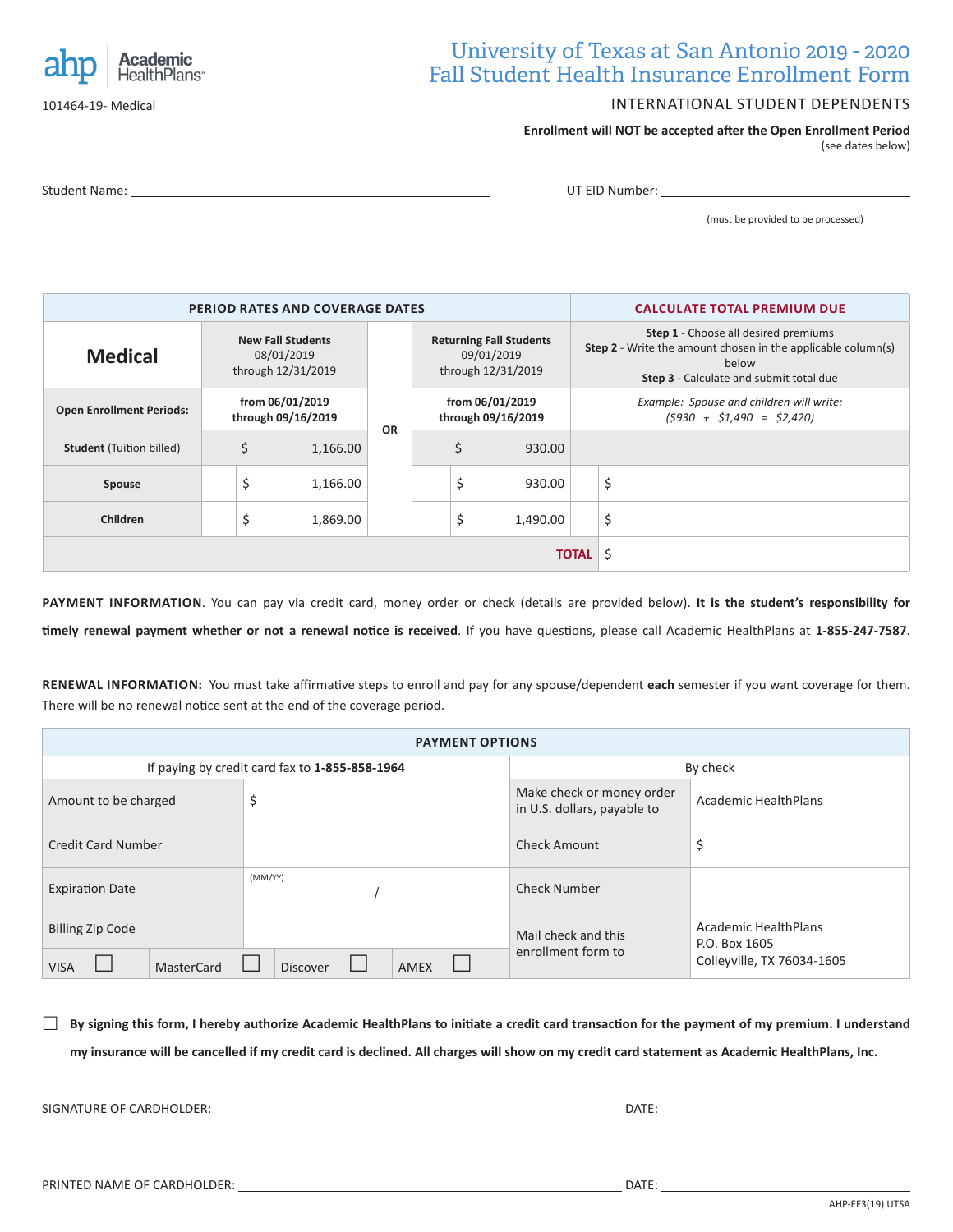

101464-19- Medical

### University of Texas at San Antonio 2019 - 2020 Fall Student Health Insurance Enrollment Form

#### INTERNATIONAL STUDENT DEPENDENTS

**Enrollment will NOT be accepted after the Open Enrollment Period**  (see dates below)

Student Name: UT EID Number:

(must be provided to be processed)

|                                 |                                                              | PERIOD RATES AND COVERAGE DATES | <b>CALCULATE TOTAL PREMIUM DUE</b> |                                                                        |                                                                                                             |        |          |                                                                                                                                                                               |    |  |  |
|---------------------------------|--------------------------------------------------------------|---------------------------------|------------------------------------|------------------------------------------------------------------------|-------------------------------------------------------------------------------------------------------------|--------|----------|-------------------------------------------------------------------------------------------------------------------------------------------------------------------------------|----|--|--|
| <b>Medical</b>                  | <b>New Fall Students</b><br>08/01/2019<br>through 12/31/2019 |                                 |                                    |                                                                        | <b>Returning Fall Students</b><br>09/01/2019<br>through 12/31/2019<br>from 06/01/2019<br>through 09/16/2019 |        |          | <b>Step 1</b> - Choose all desired premiums<br><b>Step 2</b> - Write the amount chosen in the applicable column(s)<br>below<br><b>Step 3</b> - Calculate and submit total due |    |  |  |
| <b>Open Enrollment Periods:</b> | from 06/01/2019<br>through 09/16/2019                        |                                 | <b>OR</b>                          | Example: Spouse and children will write:<br>$(5930 + 51,490 = 52,420)$ |                                                                                                             |        |          |                                                                                                                                                                               |    |  |  |
| <b>Student</b> (Tuition billed) | \$<br>1,166.00                                               |                                 |                                    |                                                                        | \$                                                                                                          | 930.00 |          |                                                                                                                                                                               |    |  |  |
| Spouse                          |                                                              | \$                              | 1,166.00                           |                                                                        |                                                                                                             | \$     | 930.00   |                                                                                                                                                                               | \$ |  |  |
| Children                        |                                                              | \$                              | 1,869.00                           |                                                                        |                                                                                                             | \$     | 1,490.00 |                                                                                                                                                                               | \$ |  |  |
|                                 |                                                              |                                 | -\$<br><b>TOTAL</b>                |                                                                        |                                                                                                             |        |          |                                                                                                                                                                               |    |  |  |

**PAYMENT INFORMATION**. You can pay via credit card, money order or check (details are provided below). **It is the student's responsibility for timely renewal payment whether or not a renewal notice is received**. If you have questions, please call Academic HealthPlans at **1-855-247-7587**.

**RENEWAL INFORMATION:** You must take affirmative steps to enroll and pay for any spouse/dependent **each** semester if you want coverage for them. There will be no renewal notice sent at the end of the coverage period.

| <b>PAYMENT OPTIONS</b>                               |                                                |                                                          |                                                                     |  |  |  |  |  |  |  |
|------------------------------------------------------|------------------------------------------------|----------------------------------------------------------|---------------------------------------------------------------------|--|--|--|--|--|--|--|
|                                                      | If paying by credit card fax to 1-855-858-1964 | By check                                                 |                                                                     |  |  |  |  |  |  |  |
| Amount to be charged                                 | \$                                             | Make check or money order<br>in U.S. dollars, payable to | Academic HealthPlans                                                |  |  |  |  |  |  |  |
| <b>Credit Card Number</b>                            |                                                | <b>Check Amount</b>                                      | \$                                                                  |  |  |  |  |  |  |  |
| <b>Expiration Date</b>                               | (MM/YY)                                        | <b>Check Number</b>                                      |                                                                     |  |  |  |  |  |  |  |
| <b>Billing Zip Code</b><br>MasterCard<br><b>VISA</b> | Discover<br><b>AMEX</b>                        | Mail check and this<br>enrollment form to                | Academic HealthPlans<br>P.O. Box 1605<br>Colleyville, TX 76034-1605 |  |  |  |  |  |  |  |

 **By signing this form, I hereby authorize Academic HealthPlans to initiate a credit card transaction for the payment of my premium. I understand my insurance will be cancelled if my credit card is declined. All charges will show on my credit card statement as Academic HealthPlans, Inc.**

SIGNATURE OF CARDHOLDER: DATE: